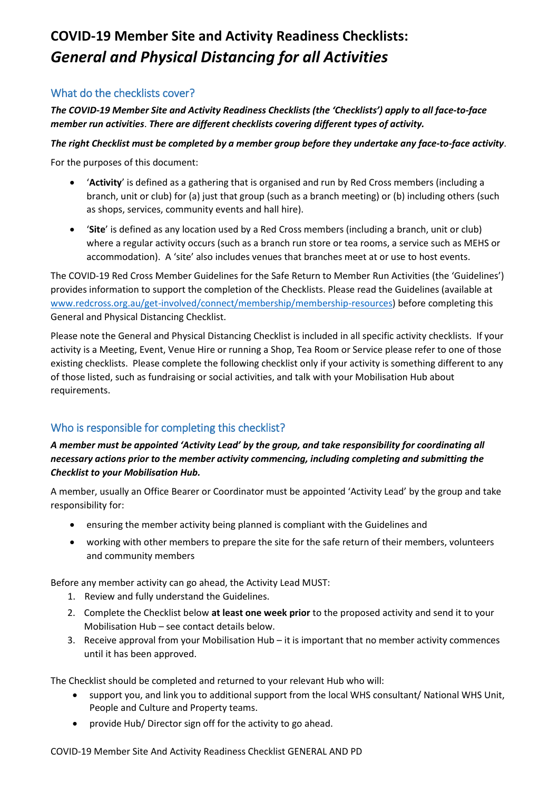# **COVID-19 Member Site and Activity Readiness Checklists:**  *General and Physical Distancing for all Activities*

### What do the checklists cover?

*The COVID-19 Member Site and Activity Readiness Checklists (the 'Checklists') apply to all face-to-face member run activities*. *There are different checklists covering different types of activity.*

#### *The right Checklist must be completed by a member group before they undertake any face-to-face activity*.

For the purposes of this document:

- '**Activity**' is defined as a gathering that is organised and run by Red Cross members (including a branch, unit or club) for (a) just that group (such as a branch meeting) or (b) including others (such as shops, services, community events and hall hire).
- '**Site**' is defined as any location used by a Red Cross members (including a branch, unit or club) where a regular activity occurs (such as a branch run store or tea rooms, a service such as MEHS or accommodation). A 'site' also includes venues that branches meet at or use to host events.

The COVID-19 Red Cross Member Guidelines for the Safe Return to Member Run Activities (the 'Guidelines') provides information to support the completion of the Checklists. Please read the Guidelines (available at [www.redcross.org.au/get-involved/connect/membership/membership-resources\)](https://www.redcross.org.au/get-involved/connect/membership/membership-resources) before completing this General and Physical Distancing Checklist.

Please note the General and Physical Distancing Checklist is included in all specific activity checklists. If your activity is a Meeting, Event, Venue Hire or running a Shop, Tea Room or Service please refer to one of those existing checklists. Please complete the following checklist only if your activity is something different to any of those listed, such as fundraising or social activities, and talk with your Mobilisation Hub about requirements.

### Who is responsible for completing this checklist?

#### *A member must be appointed 'Activity Lead' by the group, and take responsibility for coordinating all necessary actions prior to the member activity commencing, including completing and submitting the Checklist to your Mobilisation Hub.*

A member, usually an Office Bearer or Coordinator must be appointed 'Activity Lead' by the group and take responsibility for:

- ensuring the member activity being planned is compliant with the Guidelines and
- working with other members to prepare the site for the safe return of their members, volunteers and community members

Before any member activity can go ahead, the Activity Lead MUST:

- 1. Review and fully understand the Guidelines.
- 2. Complete the Checklist below **at least one week prior** to the proposed activity and send it to your Mobilisation Hub – see contact details below.
- 3. Receive approval from your Mobilisation Hub it is important that no member activity commences until it has been approved.

The Checklist should be completed and returned to your relevant Hub who will:

- support you, and link you to additional support from the local WHS consultant/ National WHS Unit, People and Culture and Property teams.
- provide Hub/ Director sign off for the activity to go ahead.

COVID-19 Member Site And Activity Readiness Checklist GENERAL AND PD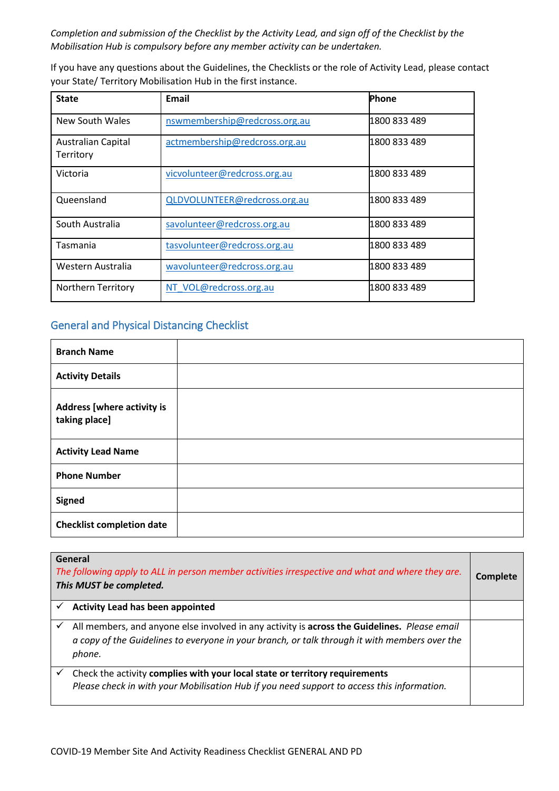*Completion and submission of the Checklist by the Activity Lead, and sign off of the Checklist by the Mobilisation Hub is compulsory before any member activity can be undertaken.*

If you have any questions about the Guidelines, the Checklists or the role of Activity Lead, please contact your State/ Territory Mobilisation Hub in the first instance.

| <b>State</b>                           | Email                         | <b>Phone</b> |
|----------------------------------------|-------------------------------|--------------|
| New South Wales                        | nswmembership@redcross.org.au | 1800 833 489 |
| <b>Australian Capital</b><br>Territory | actmembership@redcross.org.au | 1800 833 489 |
| Victoria                               | vicvolunteer@redcross.org.au  | 1800 833 489 |
| Queensland                             | QLDVOLUNTEER@redcross.org.au  | 1800 833 489 |
| South Australia                        | savolunteer@redcross.org.au   | 1800 833 489 |
| Tasmania                               | tasvolunteer@redcross.org.au  | 1800 833 489 |
| Western Australia                      | wavolunteer@redcross.org.au   | 1800 833 489 |
| Northern Territory                     | NT VOL@redcross.org.au        | 1800 833 489 |

## General and Physical Distancing Checklist

| <b>Branch Name</b>                                 |  |
|----------------------------------------------------|--|
| <b>Activity Details</b>                            |  |
| <b>Address [where activity is</b><br>taking place] |  |
| <b>Activity Lead Name</b>                          |  |
| <b>Phone Number</b>                                |  |
| <b>Signed</b>                                      |  |
| <b>Checklist completion date</b>                   |  |

| General<br>The following apply to ALL in person member activities irrespective and what and where they are.<br>This MUST be completed. |                                                                                                                                                                                                         | <b>Complete</b> |
|----------------------------------------------------------------------------------------------------------------------------------------|---------------------------------------------------------------------------------------------------------------------------------------------------------------------------------------------------------|-----------------|
|                                                                                                                                        | Activity Lead has been appointed                                                                                                                                                                        |                 |
| ✓                                                                                                                                      | All members, and anyone else involved in any activity is across the Guidelines. Please email<br>a copy of the Guidelines to everyone in your branch, or talk through it with members over the<br>phone. |                 |
| ✓                                                                                                                                      | Check the activity complies with your local state or territory requirements<br>Please check in with your Mobilisation Hub if you need support to access this information.                               |                 |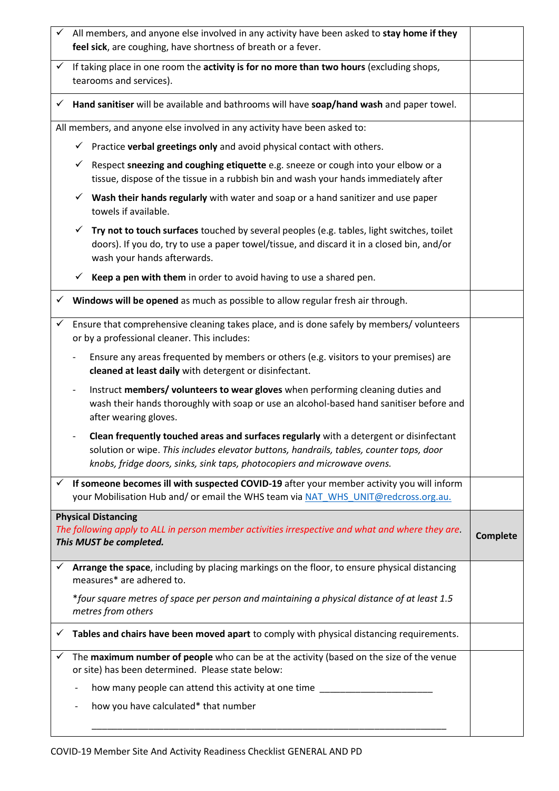|              | All members, and anyone else involved in any activity have been asked to stay home if they<br>feel sick, are coughing, have shortness of breath or a fever.                                                                                                   |  |  |
|--------------|---------------------------------------------------------------------------------------------------------------------------------------------------------------------------------------------------------------------------------------------------------------|--|--|
| $\checkmark$ | If taking place in one room the activity is for no more than two hours (excluding shops,<br>tearooms and services).                                                                                                                                           |  |  |
| $\checkmark$ | Hand sanitiser will be available and bathrooms will have soap/hand wash and paper towel.                                                                                                                                                                      |  |  |
|              | All members, and anyone else involved in any activity have been asked to:                                                                                                                                                                                     |  |  |
|              | Practice verbal greetings only and avoid physical contact with others.<br>$\checkmark$                                                                                                                                                                        |  |  |
|              | Respect sneezing and coughing etiquette e.g. sneeze or cough into your elbow or a<br>✓<br>tissue, dispose of the tissue in a rubbish bin and wash your hands immediately after                                                                                |  |  |
|              | Wash their hands regularly with water and soap or a hand sanitizer and use paper<br>✓<br>towels if available.                                                                                                                                                 |  |  |
|              | Try not to touch surfaces touched by several peoples (e.g. tables, light switches, toilet<br>doors). If you do, try to use a paper towel/tissue, and discard it in a closed bin, and/or<br>wash your hands afterwards.                                        |  |  |
|              | Keep a pen with them in order to avoid having to use a shared pen.<br>✓                                                                                                                                                                                       |  |  |
| $\checkmark$ | Windows will be opened as much as possible to allow regular fresh air through.                                                                                                                                                                                |  |  |
| $\checkmark$ | Ensure that comprehensive cleaning takes place, and is done safely by members/ volunteers<br>or by a professional cleaner. This includes:                                                                                                                     |  |  |
|              | Ensure any areas frequented by members or others (e.g. visitors to your premises) are<br>cleaned at least daily with detergent or disinfectant.                                                                                                               |  |  |
|              | Instruct members/ volunteers to wear gloves when performing cleaning duties and<br>wash their hands thoroughly with soap or use an alcohol-based hand sanitiser before and<br>after wearing gloves.                                                           |  |  |
|              | Clean frequently touched areas and surfaces regularly with a detergent or disinfectant<br>solution or wipe. This includes elevator buttons, handrails, tables, counter tops, door<br>knobs, fridge doors, sinks, sink taps, photocopiers and microwave ovens. |  |  |
| $\checkmark$ | If someone becomes ill with suspected COVID-19 after your member activity you will inform<br>your Mobilisation Hub and/ or email the WHS team via NAT WHS UNIT@redcross.org.au.                                                                               |  |  |
|              | <b>Physical Distancing</b><br>The following apply to ALL in person member activities irrespective and what and where they are.<br>This MUST be completed.                                                                                                     |  |  |
| ✓            | Arrange the space, including by placing markings on the floor, to ensure physical distancing<br>measures* are adhered to.                                                                                                                                     |  |  |
|              | *four square metres of space per person and maintaining a physical distance of at least 1.5<br>metres from others                                                                                                                                             |  |  |
| ✓            | Tables and chairs have been moved apart to comply with physical distancing requirements.                                                                                                                                                                      |  |  |
|              | The maximum number of people who can be at the activity (based on the size of the venue<br>or site) has been determined. Please state below:                                                                                                                  |  |  |
|              | how many people can attend this activity at one time ________                                                                                                                                                                                                 |  |  |
|              | how you have calculated* that number                                                                                                                                                                                                                          |  |  |
|              |                                                                                                                                                                                                                                                               |  |  |